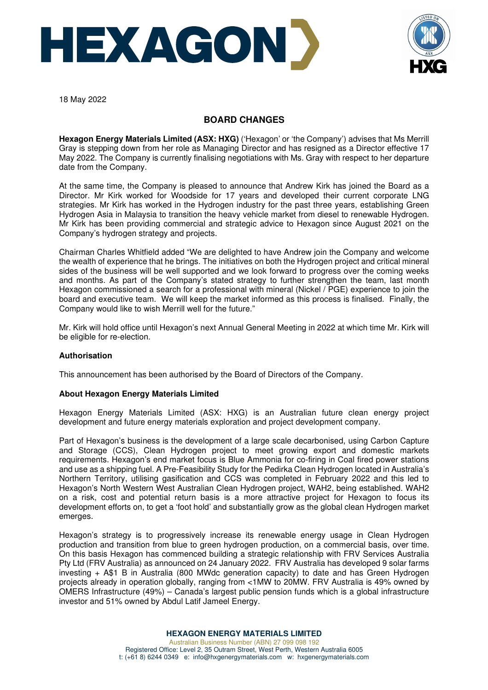



18 May 2022

# **BOARD CHANGES**

**Hexagon Energy Materials Limited (ASX: HXG)** ('Hexagon' or 'the Company') advises that Ms Merrill Gray is stepping down from her role as Managing Director and has resigned as a Director effective 17 May 2022. The Company is currently finalising negotiations with Ms. Gray with respect to her departure date from the Company.

At the same time, the Company is pleased to announce that Andrew Kirk has joined the Board as a Director. Mr Kirk worked for Woodside for 17 years and developed their current corporate LNG strategies. Mr Kirk has worked in the Hydrogen industry for the past three years, establishing Green Hydrogen Asia in Malaysia to transition the heavy vehicle market from diesel to renewable Hydrogen. Mr Kirk has been providing commercial and strategic advice to Hexagon since August 2021 on the Company's hydrogen strategy and projects.

Chairman Charles Whitfield added "We are delighted to have Andrew join the Company and welcome the wealth of experience that he brings. The initiatives on both the Hydrogen project and critical mineral sides of the business will be well supported and we look forward to progress over the coming weeks and months. As part of the Company's stated strategy to further strengthen the team, last month Hexagon commissioned a search for a professional with mineral (Nickel / PGE) experience to join the board and executive team. We will keep the market informed as this process is finalised. Finally, the Company would like to wish Merrill well for the future."

Mr. Kirk will hold office until Hexagon's next Annual General Meeting in 2022 at which time Mr. Kirk will be eligible for re-election.

### **Authorisation**

This announcement has been authorised by the Board of Directors of the Company.

### **About Hexagon Energy Materials Limited**

Hexagon Energy Materials Limited (ASX: HXG) is an Australian future clean energy project development and future energy materials exploration and project development company.

Part of Hexagon's business is the development of a large scale decarbonised, using Carbon Capture and Storage (CCS), Clean Hydrogen project to meet growing export and domestic markets requirements. Hexagon's end market focus is Blue Ammonia for co-firing in Coal fired power stations and use as a shipping fuel. A Pre-Feasibility Study for the Pedirka Clean Hydrogen located in Australia's Northern Territory, utilising gasification and CCS was completed in February 2022 and this led to Hexagon's North Western West Australian Clean Hydrogen project, WAH2, being established. WAH2 on a risk, cost and potential return basis is a more attractive project for Hexagon to focus its development efforts on, to get a 'foot hold' and substantially grow as the global clean Hydrogen market emerges.

Hexagon's strategy is to progressively increase its renewable energy usage in Clean Hydrogen production and transition from blue to green hydrogen production, on a commercial basis, over time. On this basis Hexagon has commenced building a strategic relationship with FRV Services Australia Pty Ltd (FRV Australia) as announced on 24 January 2022. FRV Australia has developed 9 solar farms investing + A\$1 B in Australia (800 MWdc generation capacity) to date and has Green Hydrogen projects already in operation globally, ranging from <1MW to 20MW. FRV Australia is 49% owned by OMERS Infrastructure (49%) – Canada's largest public pension funds which is a global infrastructure investor and 51% owned by Abdul Latif Jameel Energy.